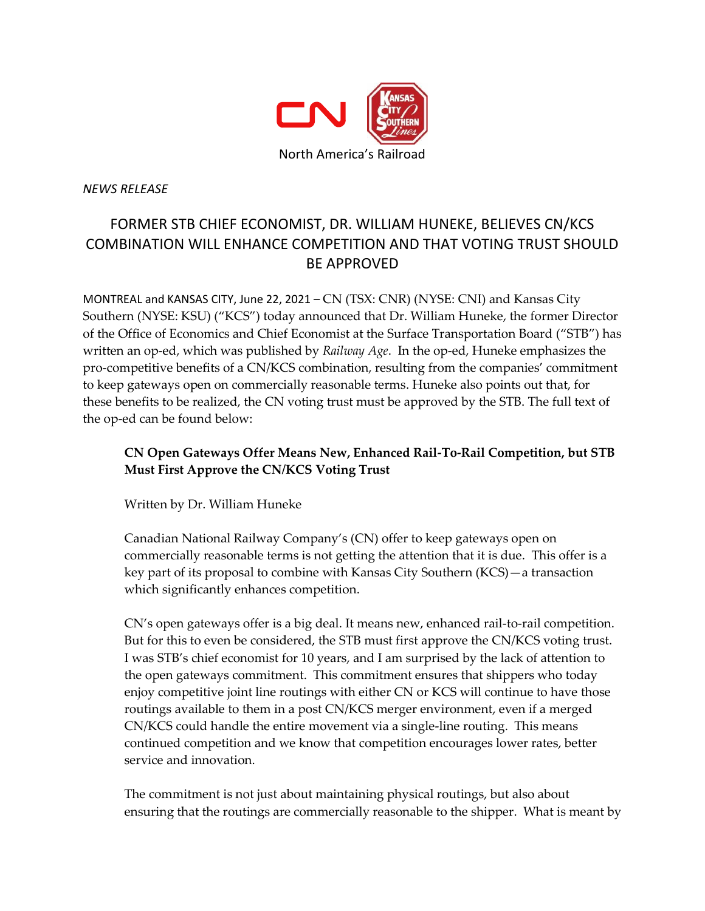

*NEWS RELEASE*

# FORMER STB CHIEF ECONOMIST, DR. WILLIAM HUNEKE, BELIEVES CN/KCS COMBINATION WILL ENHANCE COMPETITION AND THAT VOTING TRUST SHOULD BE APPROVED

MONTREAL and KANSAS CITY, June 22, 2021 – CN (TSX: CNR) (NYSE: CNI) and Kansas City Southern (NYSE: KSU) ("KCS") today announced that Dr. William Huneke, the former Director of the Office of Economics and Chief Economist at the Surface Transportation Board ("STB") has written an op-ed, which was published by *Railway Age*. In the op-ed, Huneke emphasizes the pro-competitive benefits of a CN/KCS combination, resulting from the companies' commitment to keep gateways open on commercially reasonable terms. Huneke also points out that, for these benefits to be realized, the CN voting trust must be approved by the STB. The full text of the op-ed can be found below:

# **CN Open Gateways Offer Means New, Enhanced Rail-To-Rail Competition, but STB Must First Approve the CN/KCS Voting Trust**

Written by Dr. William Huneke

Canadian National Railway Company's (CN) offer to keep gateways open on commercially reasonable terms is not getting the attention that it is due. This offer is a key part of its proposal to combine with Kansas City Southern (KCS)—a transaction which significantly enhances competition.

CN's open gateways offer is a big deal. It means new, enhanced rail-to-rail competition. But for this to even be considered, the STB must first approve the CN/KCS voting trust. I was STB's chief economist for 10 years, and I am surprised by the lack of attention to the open gateways commitment. This commitment ensures that shippers who today enjoy competitive joint line routings with either CN or KCS will continue to have those routings available to them in a post CN/KCS merger environment, even if a merged CN/KCS could handle the entire movement via a single-line routing. This means continued competition and we know that competition encourages lower rates, better service and innovation.

The commitment is not just about maintaining physical routings, but also about ensuring that the routings are commercially reasonable to the shipper. What is meant by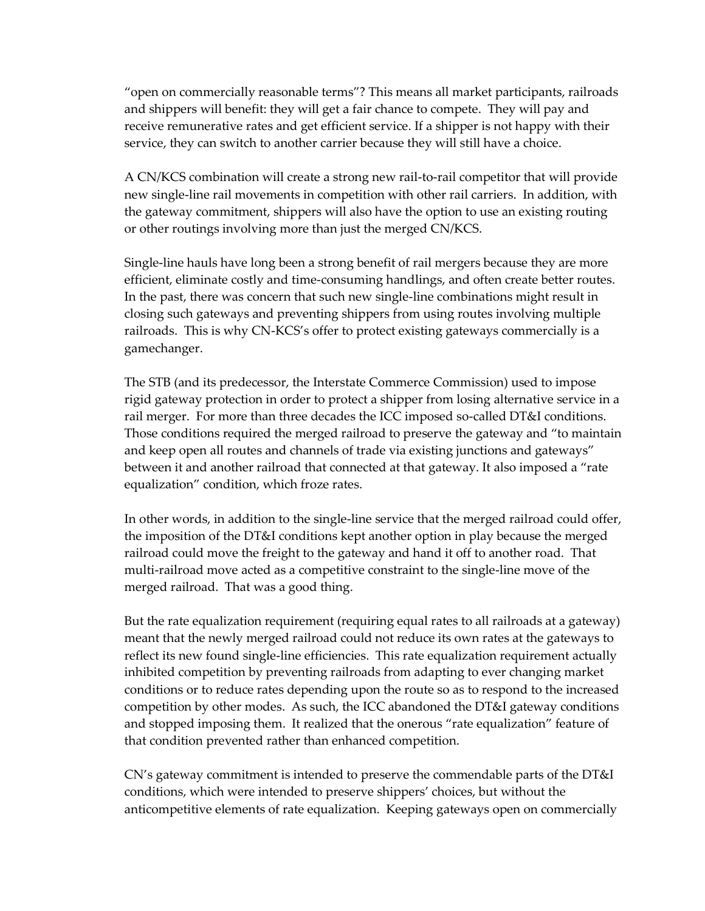"open on commercially reasonable terms"? This means all market participants, railroads and shippers will benefit: they will get a fair chance to compete. They will pay and receive remunerative rates and get efficient service. If a shipper is not happy with their service, they can switch to another carrier because they will still have a choice.

A CN/KCS combination will create a strong new rail-to-rail competitor that will provide new single-line rail movements in competition with other rail carriers. In addition, with the gateway commitment, shippers will also have the option to use an existing routing or other routings involving more than just the merged CN/KCS.

Single-line hauls have long been a strong benefit of rail mergers because they are more efficient, eliminate costly and time-consuming handlings, and often create better routes. In the past, there was concern that such new single-line combinations might result in closing such gateways and preventing shippers from using routes involving multiple railroads. This is why CN-KCS's offer to protect existing gateways commercially is a gamechanger.

The STB (and its predecessor, the Interstate Commerce Commission) used to impose rigid gateway protection in order to protect a shipper from losing alternative service in a rail merger. For more than three decades the ICC imposed so-called DT&I conditions. Those conditions required the merged railroad to preserve the gateway and "to maintain and keep open all routes and channels of trade via existing junctions and gateways" between it and another railroad that connected at that gateway. It also imposed a "rate equalization" condition, which froze rates.

In other words, in addition to the single-line service that the merged railroad could offer, the imposition of the DT&I conditions kept another option in play because the merged railroad could move the freight to the gateway and hand it off to another road. That multi-railroad move acted as a competitive constraint to the single-line move of the merged railroad. That was a good thing.

But the rate equalization requirement (requiring equal rates to all railroads at a gateway) meant that the newly merged railroad could not reduce its own rates at the gateways to reflect its new found single-line efficiencies. This rate equalization requirement actually inhibited competition by preventing railroads from adapting to ever changing market conditions or to reduce rates depending upon the route so as to respond to the increased competition by other modes. As such, the ICC abandoned the DT&I gateway conditions and stopped imposing them. It realized that the onerous "rate equalization" feature of that condition prevented rather than enhanced competition.

CN's gateway commitment is intended to preserve the commendable parts of the DT&I conditions, which were intended to preserve shippers' choices, but without the anticompetitive elements of rate equalization. Keeping gateways open on commercially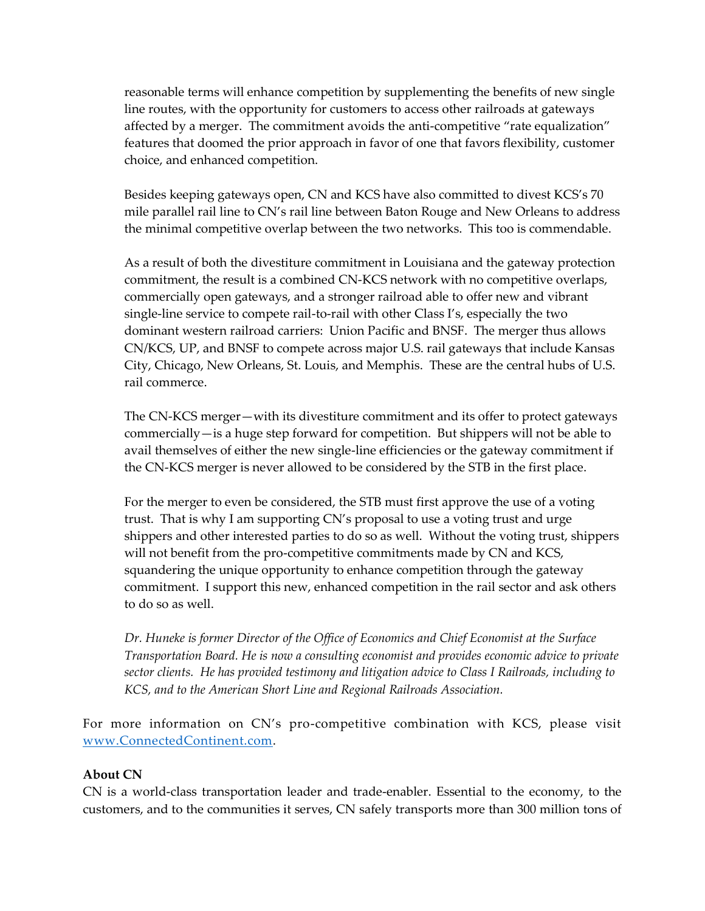reasonable terms will enhance competition by supplementing the benefits of new single line routes, with the opportunity for customers to access other railroads at gateways affected by a merger. The commitment avoids the anti-competitive "rate equalization" features that doomed the prior approach in favor of one that favors flexibility, customer choice, and enhanced competition.

Besides keeping gateways open, CN and KCS have also committed to divest KCS's 70 mile parallel rail line to CN's rail line between Baton Rouge and New Orleans to address the minimal competitive overlap between the two networks. This too is commendable.

As a result of both the divestiture commitment in Louisiana and the gateway protection commitment, the result is a combined CN-KCS network with no competitive overlaps, commercially open gateways, and a stronger railroad able to offer new and vibrant single-line service to compete rail-to-rail with other Class I's, especially the two dominant western railroad carriers: Union Pacific and BNSF. The merger thus allows CN/KCS, UP, and BNSF to compete across major U.S. rail gateways that include Kansas City, Chicago, New Orleans, St. Louis, and Memphis. These are the central hubs of U.S. rail commerce.

The CN-KCS merger—with its divestiture commitment and its offer to protect gateways commercially—is a huge step forward for competition. But shippers will not be able to avail themselves of either the new single-line efficiencies or the gateway commitment if the CN-KCS merger is never allowed to be considered by the STB in the first place.

For the merger to even be considered, the STB must first approve the use of a voting trust. That is why I am supporting CN's proposal to use a voting trust and urge shippers and other interested parties to do so as well. Without the voting trust, shippers will not benefit from the pro-competitive commitments made by CN and KCS, squandering the unique opportunity to enhance competition through the gateway commitment. I support this new, enhanced competition in the rail sector and ask others to do so as well.

*Dr. Huneke is former Director of the Office of Economics and Chief Economist at the Surface Transportation Board. He is now a consulting economist and provides economic advice to private sector clients. He has provided testimony and litigation advice to Class I Railroads, including to KCS, and to the American Short Line and Regional Railroads Association.*

For more information on CN's pro-competitive combination with KCS, please visit [www.ConnectedContinent.com.](http://www.connectedcontinent.com/)

# **About CN**

CN is a world-class transportation leader and trade-enabler. Essential to the economy, to the customers, and to the communities it serves, CN safely transports more than 300 million tons of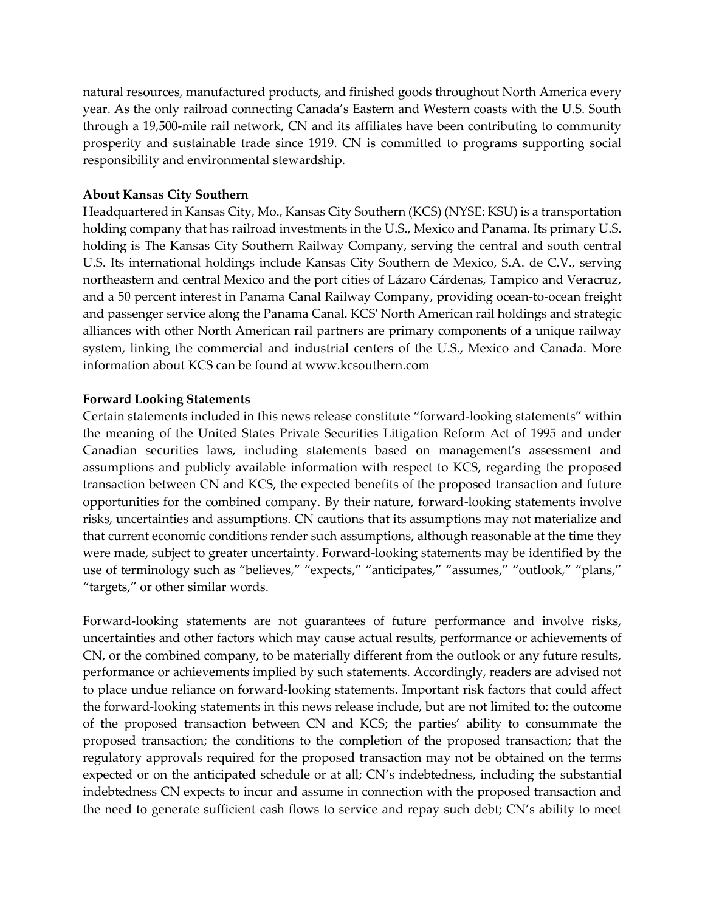natural resources, manufactured products, and finished goods throughout North America every year. As the only railroad connecting Canada's Eastern and Western coasts with the U.S. South through a 19,500-mile rail network, CN and its affiliates have been contributing to community prosperity and sustainable trade since 1919. CN is committed to programs supporting social responsibility and environmental stewardship.

### **About Kansas City Southern**

Headquartered in Kansas City, Mo., Kansas City Southern (KCS) (NYSE: KSU) is a transportation holding company that has railroad investments in the U.S., Mexico and Panama. Its primary U.S. holding is The Kansas City Southern Railway Company, serving the central and south central U.S. Its international holdings include Kansas City Southern de Mexico, S.A. de C.V., serving northeastern and central Mexico and the port cities of Lázaro Cárdenas, Tampico and Veracruz, and a 50 percent interest in Panama Canal Railway Company, providing ocean-to-ocean freight and passenger service along the Panama Canal. KCS' North American rail holdings and strategic alliances with other North American rail partners are primary components of a unique railway system, linking the commercial and industrial centers of the U.S., Mexico and Canada. More information about KCS can be found at www.kcsouthern.com

## **Forward Looking Statements**

Certain statements included in this news release constitute "forward-looking statements" within the meaning of the United States Private Securities Litigation Reform Act of 1995 and under Canadian securities laws, including statements based on management's assessment and assumptions and publicly available information with respect to KCS, regarding the proposed transaction between CN and KCS, the expected benefits of the proposed transaction and future opportunities for the combined company. By their nature, forward-looking statements involve risks, uncertainties and assumptions. CN cautions that its assumptions may not materialize and that current economic conditions render such assumptions, although reasonable at the time they were made, subject to greater uncertainty. Forward-looking statements may be identified by the use of terminology such as "believes," "expects," "anticipates," "assumes," "outlook," "plans," "targets," or other similar words.

Forward-looking statements are not guarantees of future performance and involve risks, uncertainties and other factors which may cause actual results, performance or achievements of CN, or the combined company, to be materially different from the outlook or any future results, performance or achievements implied by such statements. Accordingly, readers are advised not to place undue reliance on forward-looking statements. Important risk factors that could affect the forward-looking statements in this news release include, but are not limited to: the outcome of the proposed transaction between CN and KCS; the parties' ability to consummate the proposed transaction; the conditions to the completion of the proposed transaction; that the regulatory approvals required for the proposed transaction may not be obtained on the terms expected or on the anticipated schedule or at all; CN's indebtedness, including the substantial indebtedness CN expects to incur and assume in connection with the proposed transaction and the need to generate sufficient cash flows to service and repay such debt; CN's ability to meet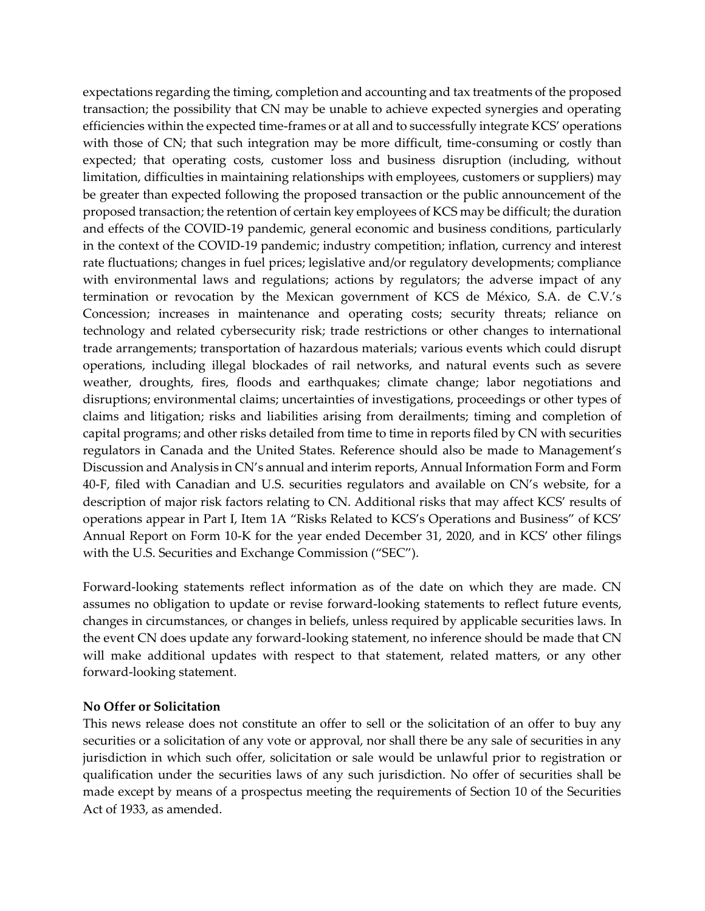expectations regarding the timing, completion and accounting and tax treatments of the proposed transaction; the possibility that CN may be unable to achieve expected synergies and operating efficiencies within the expected time-frames or at all and to successfully integrate KCS' operations with those of CN; that such integration may be more difficult, time-consuming or costly than expected; that operating costs, customer loss and business disruption (including, without limitation, difficulties in maintaining relationships with employees, customers or suppliers) may be greater than expected following the proposed transaction or the public announcement of the proposed transaction; the retention of certain key employees of KCS may be difficult; the duration and effects of the COVID-19 pandemic, general economic and business conditions, particularly in the context of the COVID-19 pandemic; industry competition; inflation, currency and interest rate fluctuations; changes in fuel prices; legislative and/or regulatory developments; compliance with environmental laws and regulations; actions by regulators; the adverse impact of any termination or revocation by the Mexican government of KCS de México, S.A. de C.V.'s Concession; increases in maintenance and operating costs; security threats; reliance on technology and related cybersecurity risk; trade restrictions or other changes to international trade arrangements; transportation of hazardous materials; various events which could disrupt operations, including illegal blockades of rail networks, and natural events such as severe weather, droughts, fires, floods and earthquakes; climate change; labor negotiations and disruptions; environmental claims; uncertainties of investigations, proceedings or other types of claims and litigation; risks and liabilities arising from derailments; timing and completion of capital programs; and other risks detailed from time to time in reports filed by CN with securities regulators in Canada and the United States. Reference should also be made to Management's Discussion and Analysis in CN's annual and interim reports, Annual Information Form and Form 40-F, filed with Canadian and U.S. securities regulators and available on CN's website, for a description of major risk factors relating to CN. Additional risks that may affect KCS' results of operations appear in Part I, Item 1A "Risks Related to KCS's Operations and Business" of KCS' Annual Report on Form 10-K for the year ended December 31, 2020, and in KCS' other filings with the U.S. Securities and Exchange Commission ("SEC").

Forward-looking statements reflect information as of the date on which they are made. CN assumes no obligation to update or revise forward-looking statements to reflect future events, changes in circumstances, or changes in beliefs, unless required by applicable securities laws. In the event CN does update any forward-looking statement, no inference should be made that CN will make additional updates with respect to that statement, related matters, or any other forward-looking statement.

# **No Offer or Solicitation**

This news release does not constitute an offer to sell or the solicitation of an offer to buy any securities or a solicitation of any vote or approval, nor shall there be any sale of securities in any jurisdiction in which such offer, solicitation or sale would be unlawful prior to registration or qualification under the securities laws of any such jurisdiction. No offer of securities shall be made except by means of a prospectus meeting the requirements of Section 10 of the Securities Act of 1933, as amended.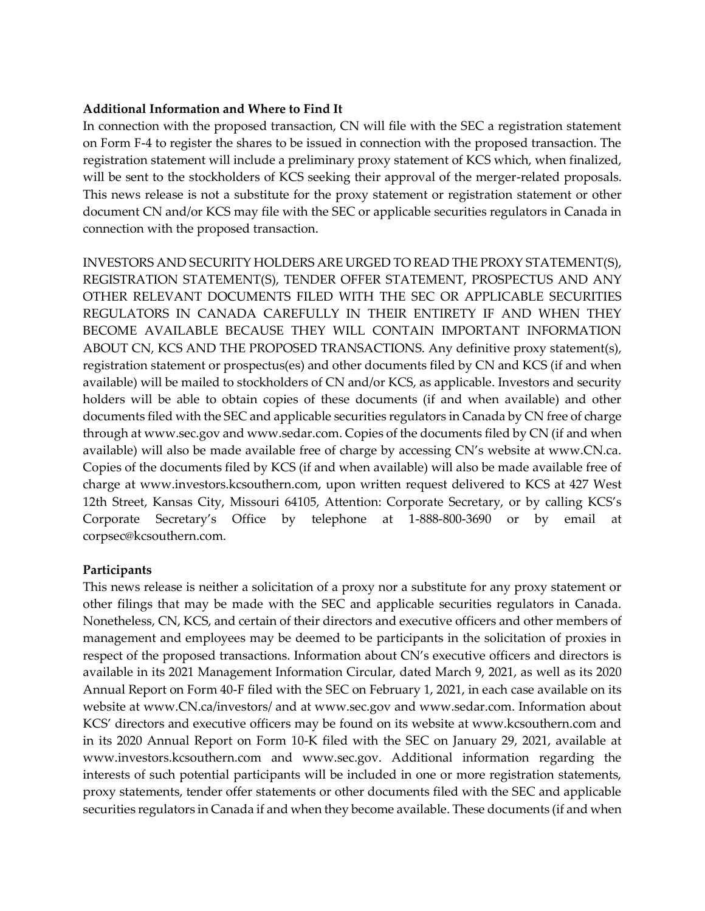## **Additional Information and Where to Find It**

In connection with the proposed transaction, CN will file with the SEC a registration statement on Form F-4 to register the shares to be issued in connection with the proposed transaction. The registration statement will include a preliminary proxy statement of KCS which, when finalized, will be sent to the stockholders of KCS seeking their approval of the merger-related proposals. This news release is not a substitute for the proxy statement or registration statement or other document CN and/or KCS may file with the SEC or applicable securities regulators in Canada in connection with the proposed transaction.

INVESTORS AND SECURITY HOLDERS ARE URGED TO READ THE PROXY STATEMENT(S), REGISTRATION STATEMENT(S), TENDER OFFER STATEMENT, PROSPECTUS AND ANY OTHER RELEVANT DOCUMENTS FILED WITH THE SEC OR APPLICABLE SECURITIES REGULATORS IN CANADA CAREFULLY IN THEIR ENTIRETY IF AND WHEN THEY BECOME AVAILABLE BECAUSE THEY WILL CONTAIN IMPORTANT INFORMATION ABOUT CN, KCS AND THE PROPOSED TRANSACTIONS. Any definitive proxy statement(s), registration statement or prospectus(es) and other documents filed by CN and KCS (if and when available) will be mailed to stockholders of CN and/or KCS, as applicable. Investors and security holders will be able to obtain copies of these documents (if and when available) and other documents filed with the SEC and applicable securities regulators in Canada by CN free of charge through at www.sec.gov and www.sedar.com. Copies of the documents filed by CN (if and when available) will also be made available free of charge by accessing CN's website at www.CN.ca. Copies of the documents filed by KCS (if and when available) will also be made available free of charge at www.investors.kcsouthern.com, upon written request delivered to KCS at 427 West 12th Street, Kansas City, Missouri 64105, Attention: Corporate Secretary, or by calling KCS's Corporate Secretary's Office by telephone at 1-888-800-3690 or by email corpsec@kcsouthern.com.

# **Participants**

This news release is neither a solicitation of a proxy nor a substitute for any proxy statement or other filings that may be made with the SEC and applicable securities regulators in Canada. Nonetheless, CN, KCS, and certain of their directors and executive officers and other members of management and employees may be deemed to be participants in the solicitation of proxies in respect of the proposed transactions. Information about CN's executive officers and directors is available in its 2021 Management Information Circular, dated March 9, 2021, as well as its 2020 Annual Report on Form 40-F filed with the SEC on February 1, 2021, in each case available on its website at www.CN.ca/investors/ and at www.sec.gov and www.sedar.com. Information about KCS' directors and executive officers may be found on its website at www.kcsouthern.com and in its 2020 Annual Report on Form 10-K filed with the SEC on January 29, 2021, available at www.investors.kcsouthern.com and www.sec.gov. Additional information regarding the interests of such potential participants will be included in one or more registration statements, proxy statements, tender offer statements or other documents filed with the SEC and applicable securities regulators in Canada if and when they become available. These documents (if and when